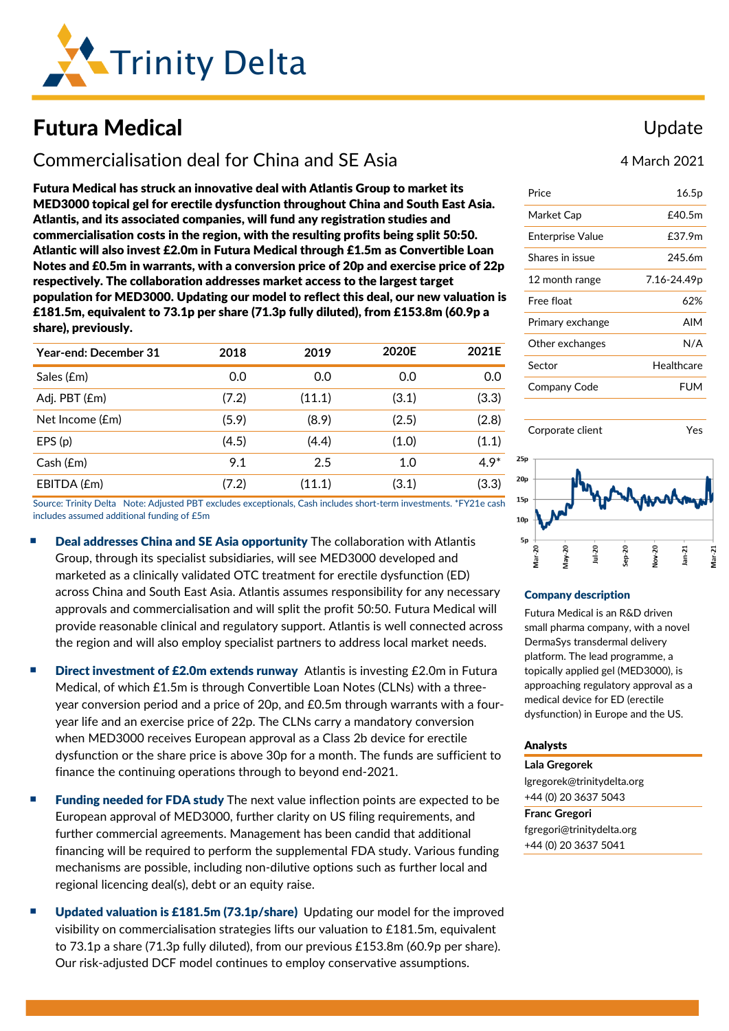

# Futura Medical

## Commercialisation deal for China and SE Asia

Futura Medical has struck an innovative deal with Atlantis Group to market its MED3000 topical gel for erectile dysfunction throughout China and South East Asia. Atlantis, and its associated companies, will fund any registration studies and commercialisation costs in the region, with the resulting profits being split 50:50. Atlantic will also invest £2.0m in Futura Medical through £1.5m as Convertible Loan Notes and £0.5m in warrants, with a conversion price of 20p and exercise price of 22p respectively. The collaboration addresses market access to the largest target population for MED3000. Updating our model to reflect this deal, our new valuation is £181.5m, equivalent to 73.1p per share (71.3p fully diluted), from £153.8m (60.9p a share), previously.

| Year-end: December 31 | 2018  | 2019   | 2020E | 2021E  |
|-----------------------|-------|--------|-------|--------|
| Sales (£m)            | 0.0   | 0.0    | 0.0   | 0.0    |
| Adj. PBT (£m)         | (7.2) | (11.1) | (3.1) | (3.3)  |
| Net Income (£m)       | (5.9) | (8.9)  | (2.5) | (2.8)  |
| EPS(p)                | (4.5) | (4.4)  | (1.0) | (1.1)  |
| Cash (£m)             | 9.1   | 2.5    | 1.0   | $4.9*$ |
| EBITDA (£m)           | (7.2) | (11.1) | (3.1) | (3.3)  |

Source: Trinity Delta Note: Adjusted PBT excludes exceptionals, Cash includes short-term investments. \*FY21e cash includes assumed additional funding of £5m

- Deal addresses China and SE Asia opportunity The collaboration with Atlantis Group, through its specialist subsidiaries, will see MED3000 developed and marketed as a clinically validated OTC treatment for erectile dysfunction (ED) across China and South East Asia. Atlantis assumes responsibility for any necessary approvals and commercialisation and will split the profit 50:50. Futura Medical will provide reasonable clinical and regulatory support. Atlantis is well connected across the region and will also employ specialist partners to address local market needs.
- **E** Direct investment of £2.0m extends runway Atlantis is investing £2.0m in Futura Medical, of which £1.5m is through Convertible Loan Notes (CLNs) with a threeyear conversion period and a price of 20p, and £0.5m through warrants with a fouryear life and an exercise price of 22p. The CLNs carry a mandatory conversion when MED3000 receives European approval as a Class 2b device for erectile dysfunction or the share price is above 30p for a month. The funds are sufficient to finance the continuing operations through to beyond end-2021.
- **Funding needed for FDA study** The next value inflection points are expected to be European approval of MED3000, further clarity on US filing requirements, and further commercial agreements. Management has been candid that additional financing will be required to perform the supplemental FDA study. Various funding mechanisms are possible, including non-dilutive options such as further local and regional licencing deal(s), debt or an equity raise.
- **Updated valuation is £181.5m (73.1p/share)** Updating our model for the improved visibility on commercialisation strategies lifts our valuation to £181.5m, equivalent to 73.1p a share (71.3p fully diluted), from our previous £153.8m (60.9p per share). Our risk-adjusted DCF model continues to employ conservative assumptions.

## Update

4 March 2021

| Price            | 16.5p       |
|------------------|-------------|
| Market Cap       | £40.5m      |
| Enterprise Value | £37.9m      |
| Shares in issue  | 245.6m      |
| 12 month range   | 7.16-24.49p |
| Free float       | 62%         |
| Primary exchange | AIM         |
| Other exchanges  | N/A         |
| Sector           | Healthcare  |
| Company Code     | FUM         |
|                  |             |



Corporate client Yes

#### Company description

Futura Medical is an R&D driven small pharma company, with a novel DermaSys transdermal delivery platform. The lead programme, a topically applied gel (MED3000), is approaching regulatory approval as a medical device for ED (erectile dysfunction) in Europe and the US.

#### Analysts

**Lala Gregorek** [lgregorek@trinitydelta.org](mailto:lgregorek@trinitydelta.org) +44 (0) 20 3637 5043

**Franc Gregori** [fgregori@trinitydelta.org](mailto:fgregori@trinitydelta.org) +44 (0) 20 3637 5041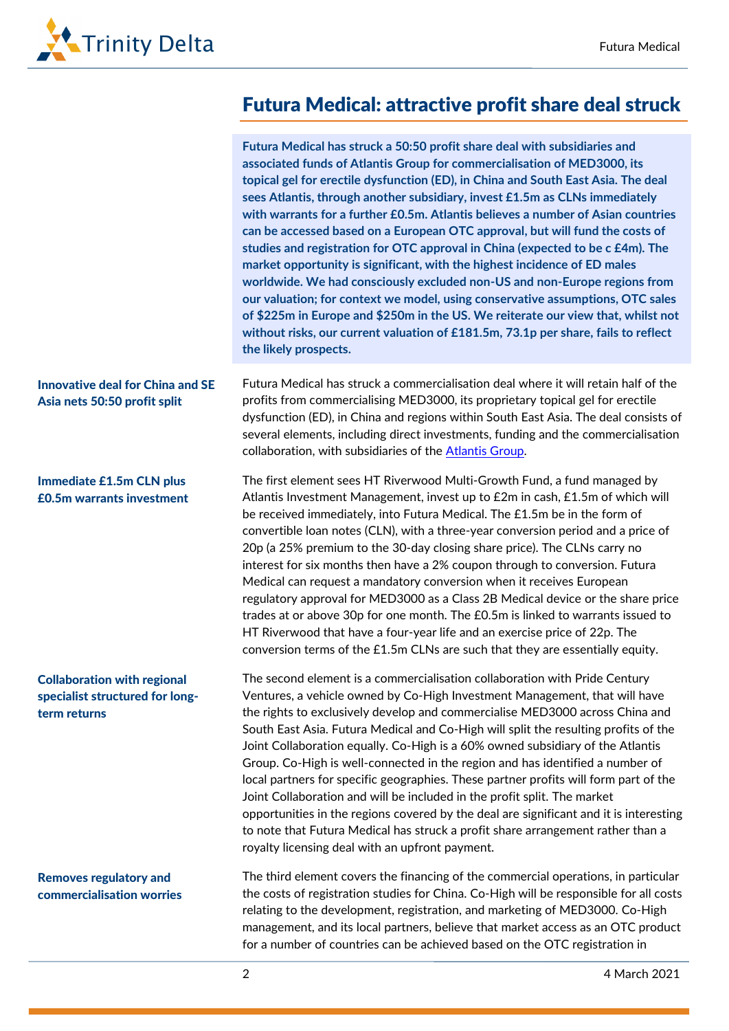

# Futura Medical: attractive profit share deal struck

|                                                                                       | Futura Medical has struck a 50:50 profit share deal with subsidiaries and<br>associated funds of Atlantis Group for commercialisation of MED3000, its<br>topical gel for erectile dysfunction (ED), in China and South East Asia. The deal<br>sees Atlantis, through another subsidiary, invest £1.5m as CLNs immediately<br>with warrants for a further £0.5m. Atlantis believes a number of Asian countries<br>can be accessed based on a European OTC approval, but will fund the costs of<br>studies and registration for OTC approval in China (expected to be c £4m). The<br>market opportunity is significant, with the highest incidence of ED males<br>worldwide. We had consciously excluded non-US and non-Europe regions from<br>our valuation; for context we model, using conservative assumptions, OTC sales<br>of \$225m in Europe and \$250m in the US. We reiterate our view that, whilst not<br>without risks, our current valuation of £181.5m, 73.1p per share, fails to reflect<br>the likely prospects. |
|---------------------------------------------------------------------------------------|--------------------------------------------------------------------------------------------------------------------------------------------------------------------------------------------------------------------------------------------------------------------------------------------------------------------------------------------------------------------------------------------------------------------------------------------------------------------------------------------------------------------------------------------------------------------------------------------------------------------------------------------------------------------------------------------------------------------------------------------------------------------------------------------------------------------------------------------------------------------------------------------------------------------------------------------------------------------------------------------------------------------------------|
| <b>Innovative deal for China and SE</b><br>Asia nets 50:50 profit split               | Futura Medical has struck a commercialisation deal where it will retain half of the<br>profits from commercialising MED3000, its proprietary topical gel for erectile<br>dysfunction (ED), in China and regions within South East Asia. The deal consists of<br>several elements, including direct investments, funding and the commercialisation<br>collaboration, with subsidiaries of the Atlantis Group.                                                                                                                                                                                                                                                                                                                                                                                                                                                                                                                                                                                                                   |
| <b>Immediate £1.5m CLN plus</b><br>£0.5m warrants investment                          | The first element sees HT Riverwood Multi-Growth Fund, a fund managed by<br>Atlantis Investment Management, invest up to £2m in cash, £1.5m of which will<br>be received immediately, into Futura Medical. The £1.5m be in the form of<br>convertible loan notes (CLN), with a three-year conversion period and a price of<br>20p (a 25% premium to the 30-day closing share price). The CLNs carry no<br>interest for six months then have a 2% coupon through to conversion. Futura<br>Medical can request a mandatory conversion when it receives European<br>regulatory approval for MED3000 as a Class 2B Medical device or the share price<br>trades at or above 30p for one month. The £0.5m is linked to warrants issued to<br>HT Riverwood that have a four-year life and an exercise price of 22p. The<br>conversion terms of the £1.5m CLNs are such that they are essentially equity.                                                                                                                              |
| <b>Collaboration with regional</b><br>specialist structured for long-<br>term returns | The second element is a commercialisation collaboration with Pride Century<br>Ventures, a vehicle owned by Co-High Investment Management, that will have<br>the rights to exclusively develop and commercialise MED3000 across China and<br>South East Asia. Futura Medical and Co-High will split the resulting profits of the<br>Joint Collaboration equally. Co-High is a 60% owned subsidiary of the Atlantis<br>Group. Co-High is well-connected in the region and has identified a number of<br>local partners for specific geographies. These partner profits will form part of the<br>Joint Collaboration and will be included in the profit split. The market<br>opportunities in the regions covered by the deal are significant and it is interesting<br>to note that Futura Medical has struck a profit share arrangement rather than a<br>royalty licensing deal with an upfront payment.                                                                                                                         |
| <b>Removes regulatory and</b><br>commercialisation worries                            | The third element covers the financing of the commercial operations, in particular<br>the costs of registration studies for China. Co-High will be responsible for all costs<br>relating to the development, registration, and marketing of MED3000. Co-High<br>management, and its local partners, believe that market access as an OTC product<br>for a number of countries can be achieved based on the OTC registration in                                                                                                                                                                                                                                                                                                                                                                                                                                                                                                                                                                                                 |

2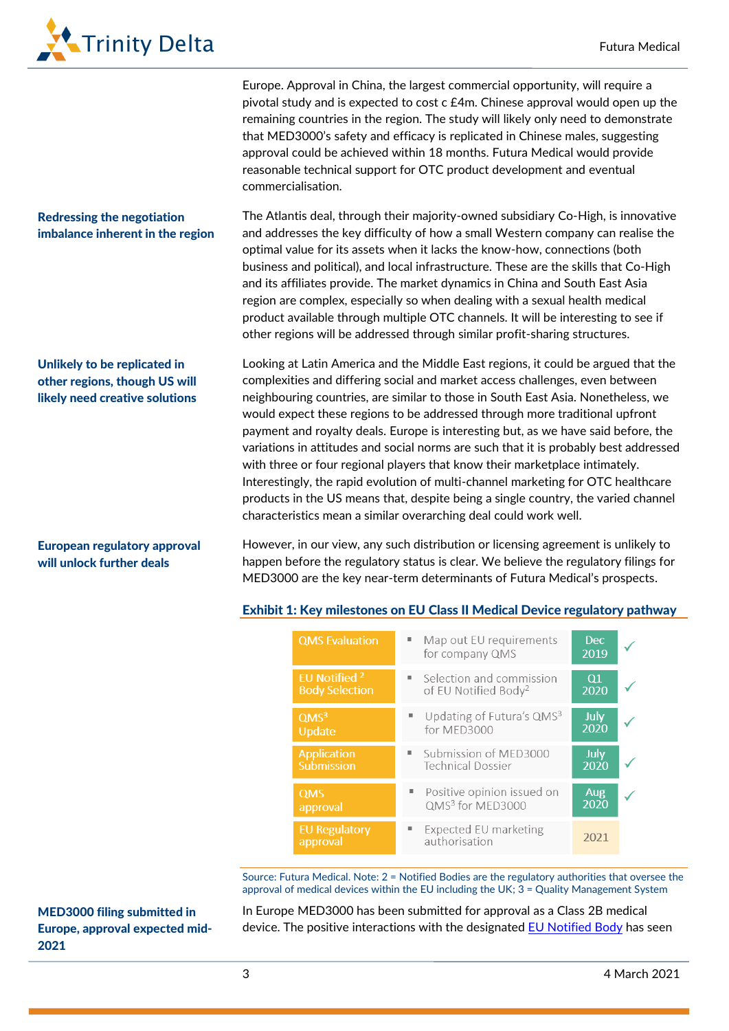

Redressing the negotiation imbalance inherent in the region

Unlikely to be replicated in other regions, though US will likely need creative solutions

Europe. Approval in China, the largest commercial opportunity, will require a pivotal study and is expected to cost c £4m. Chinese approval would open up the remaining countries in the region. The study will likely only need to demonstrate that MED3000's safety and efficacy is replicated in Chinese males, suggesting approval could be achieved within 18 months. Futura Medical would provide reasonable technical support for OTC product development and eventual commercialisation.

The Atlantis deal, through their majority-owned subsidiary Co-High, is innovative and addresses the key difficulty of how a small Western company can realise the optimal value for its assets when it lacks the know-how, connections (both business and political), and local infrastructure. These are the skills that Co-High and its affiliates provide. The market dynamics in China and South East Asia region are complex, especially so when dealing with a sexual health medical product available through multiple OTC channels. It will be interesting to see if other regions will be addressed through similar profit-sharing structures.

Looking at Latin America and the Middle East regions, it could be argued that the complexities and differing social and market access challenges, even between neighbouring countries, are similar to those in South East Asia. Nonetheless, we would expect these regions to be addressed through more traditional upfront payment and royalty deals. Europe is interesting but, as we have said before, the variations in attitudes and social norms are such that it is probably best addressed with three or four regional players that know their marketplace intimately. Interestingly, the rapid evolution of multi-channel marketing for OTC healthcare products in the US means that, despite being a single country, the varied channel characteristics mean a similar overarching deal could work well.

### European regulatory approval will unlock further deals

However, in our view, any such distribution or licensing agreement is unlikely to happen before the regulatory status is clear. We believe the regulatory filings for MED3000 are the key near-term determinants of Futura Medical's prospects.

### Exhibit 1: Key milestones on EU Class II Medical Device regulatory pathway

| <b>QMS</b> Evaluation            | Map out EU requirements<br>٠<br>for company QMS        | <b>Dec</b><br>2019 |  |
|----------------------------------|--------------------------------------------------------|--------------------|--|
| EU Notified <sup>2</sup>         | Selection and commission                               | Q1                 |  |
| <b>Body Selection</b>            | of EU Notified Body <sup>2</sup>                       | 2020               |  |
| QMS <sup>3</sup>                 | Updating of Futura's QMS <sup>3</sup>                  | July               |  |
| Update                           | for MED3000                                            | 2020               |  |
| <b>Application</b><br>Submission | Submission of MED3000<br>٠<br><b>Technical Dossier</b> | July<br>2020       |  |
| <b>QMS</b>                       | Positive opinion issued on                             | Aug                |  |
| approval                         | QMS <sup>3</sup> for MED3000                           | 2020               |  |
| <b>EU Regulatory</b><br>approval | Expected EU marketing<br>authorisation                 | 2021               |  |

Source: Futura Medical. Note: 2 = Notified Bodies are the regulatory authorities that oversee the approval of medical devices within the EU including the UK; 3 = Quality Management System

MED3000 filing submitted in Europe, approval expected mid-2021

In Europe MED3000 has been submitted for approval as a Class 2B medical device. The positive interactions with the designated [EU Notified Body](https://ec.europa.eu/growth/single-market/goods/building-blocks/notified-bodies_en) has seen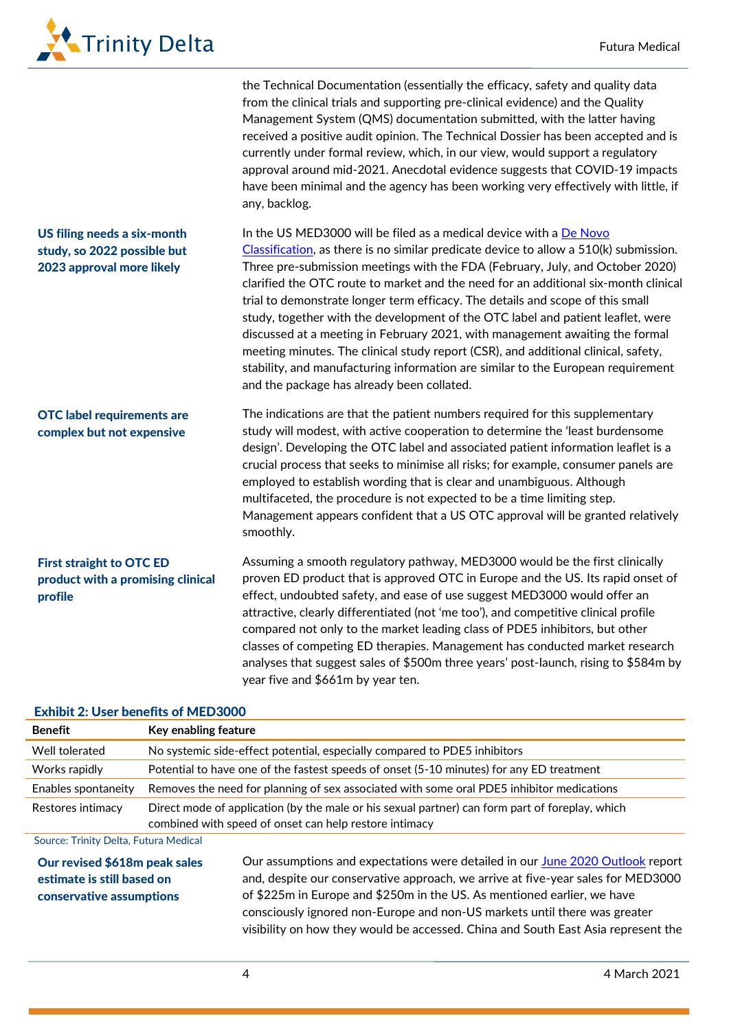

|                                                                                         | the Technical Documentation (essentially the efficacy, safety and quality data<br>from the clinical trials and supporting pre-clinical evidence) and the Quality<br>Management System (QMS) documentation submitted, with the latter having<br>received a positive audit opinion. The Technical Dossier has been accepted and is<br>currently under formal review, which, in our view, would support a regulatory<br>approval around mid-2021. Anecdotal evidence suggests that COVID-19 impacts<br>have been minimal and the agency has been working very effectively with little, if<br>any, backlog.                                                                                                                                                                                                          |
|-----------------------------------------------------------------------------------------|------------------------------------------------------------------------------------------------------------------------------------------------------------------------------------------------------------------------------------------------------------------------------------------------------------------------------------------------------------------------------------------------------------------------------------------------------------------------------------------------------------------------------------------------------------------------------------------------------------------------------------------------------------------------------------------------------------------------------------------------------------------------------------------------------------------|
| US filing needs a six-month<br>study, so 2022 possible but<br>2023 approval more likely | In the US MED3000 will be filed as a medical device with a De Novo<br>Classification, as there is no similar predicate device to allow a 510(k) submission.<br>Three pre-submission meetings with the FDA (February, July, and October 2020)<br>clarified the OTC route to market and the need for an additional six-month clinical<br>trial to demonstrate longer term efficacy. The details and scope of this small<br>study, together with the development of the OTC label and patient leaflet, were<br>discussed at a meeting in February 2021, with management awaiting the formal<br>meeting minutes. The clinical study report (CSR), and additional clinical, safety,<br>stability, and manufacturing information are similar to the European requirement<br>and the package has already been collated. |
| <b>OTC</b> label requirements are<br>complex but not expensive                          | The indications are that the patient numbers required for this supplementary<br>study will modest, with active cooperation to determine the 'least burdensome<br>design'. Developing the OTC label and associated patient information leaflet is a<br>crucial process that seeks to minimise all risks; for example, consumer panels are<br>employed to establish wording that is clear and unambiguous. Although<br>multifaceted, the procedure is not expected to be a time limiting step.<br>Management appears confident that a US OTC approval will be granted relatively<br>smoothly.                                                                                                                                                                                                                      |
| <b>First straight to OTC ED</b><br>product with a promising clinical<br>profile         | Assuming a smooth regulatory pathway, MED3000 would be the first clinically<br>proven ED product that is approved OTC in Europe and the US. Its rapid onset of<br>effect, undoubted safety, and ease of use suggest MED3000 would offer an<br>attractive, clearly differentiated (not 'me too'), and competitive clinical profile<br>compared not only to the market leading class of PDE5 inhibitors, but other<br>classes of competing ED therapies. Management has conducted market research<br>analyses that suggest sales of \$500m three years' post-launch, rising to \$584m by<br>year five and \$661m by year ten.                                                                                                                                                                                      |

#### Exhibit 2: User benefits of MED3000

| <b>Benefit</b>                                                                          | Key enabling feature                                                                                                                                      |                                                                                                                                                                                                                                               |  |  |  |
|-----------------------------------------------------------------------------------------|-----------------------------------------------------------------------------------------------------------------------------------------------------------|-----------------------------------------------------------------------------------------------------------------------------------------------------------------------------------------------------------------------------------------------|--|--|--|
| Well tolerated                                                                          |                                                                                                                                                           | No systemic side-effect potential, especially compared to PDE5 inhibitors                                                                                                                                                                     |  |  |  |
| Works rapidly                                                                           | Potential to have one of the fastest speeds of onset (5-10 minutes) for any ED treatment                                                                  |                                                                                                                                                                                                                                               |  |  |  |
| Enables spontaneity                                                                     | Removes the need for planning of sex associated with some oral PDE5 inhibitor medications                                                                 |                                                                                                                                                                                                                                               |  |  |  |
| Restores intimacy                                                                       | Direct mode of application (by the male or his sexual partner) can form part of foreplay, which<br>combined with speed of onset can help restore intimacy |                                                                                                                                                                                                                                               |  |  |  |
| Source: Trinity Delta, Futura Medical                                                   |                                                                                                                                                           |                                                                                                                                                                                                                                               |  |  |  |
| Our revised \$618m peak sales<br>estimate is still based on<br>conservative assumptions |                                                                                                                                                           | Our assumptions and expectations were detailed in our June 2020 Outlook report<br>and, despite our conservative approach, we arrive at five-year sales for MED3000<br>of \$225m in Europe and \$250m in the US. As mentioned earlier, we have |  |  |  |

consciously ignored non-Europe and non-US markets until there was greater visibility on how they would be accessed. China and South East Asia represent the

4 March 2021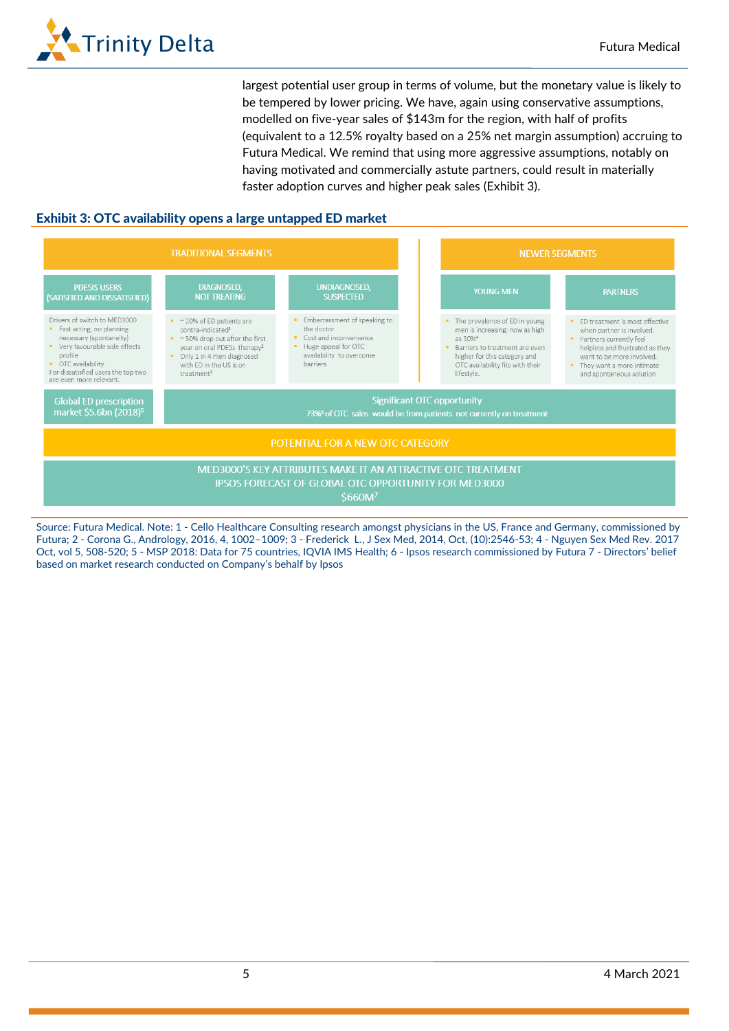

largest potential user group in terms of volume, but the monetary value is likely to be tempered by lower pricing. We have, again using conservative assumptions, modelled on five-year sales of \$143m for the region, with half of profits (equivalent to a 12.5% royalty based on a 25% net margin assumption) accruing to Futura Medical. We remind that using more aggressive assumptions, notably on having motivated and commercially astute partners, could result in materially faster adoption curves and higher peak sales (Exhibit 3).

### Exhibit 3: OTC availability opens a large untapped ED market



Source: Futura Medical. Note: 1 - Cello Healthcare Consulting research amongst physicians in the US, France and Germany, commissioned by Futura; 2 - Corona G., Andrology, 2016, 4, 1002–1009; 3 - Frederick L., J Sex Med, 2014, Oct, (10):2546-53; 4 - Nguyen Sex Med Rev. 2017 Oct, vol 5, 508-520; 5 - MSP 2018: Data for 75 countries, IQVIA IMS Health; 6 - Ipsos research commissioned by Futura 7 - Directors' belief based on market research conducted on Company's behalf by Ipsos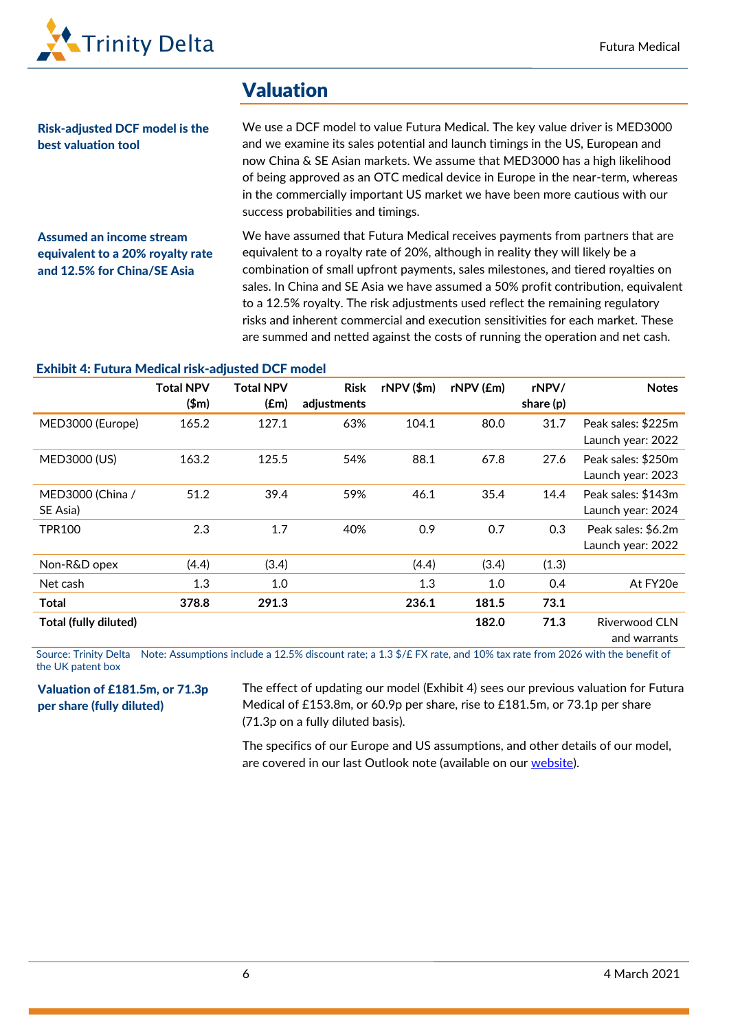

## Valuation

Risk-adjusted DCF model is the best valuation tool

We use a DCF model to value Futura Medical. The key value driver is MED3000 and we examine its sales potential and launch timings in the US, European and now China & SE Asian markets. We assume that MED3000 has a high likelihood of being approved as an OTC medical device in Europe in the near-term, whereas in the commercially important US market we have been more cautious with our success probabilities and timings.

Assumed an income stream equivalent to a 20% royalty rate and 12.5% for China/SE Asia

We have assumed that Futura Medical receives payments from partners that are equivalent to a royalty rate of 20%, although in reality they will likely be a combination of small upfront payments, sales milestones, and tiered royalties on sales. In China and SE Asia we have assumed a 50% profit contribution, equivalent to a 12.5% royalty. The risk adjustments used reflect the remaining regulatory risks and inherent commercial and execution sensitivities for each market. These are summed and netted against the costs of running the operation and net cash.

#### Exhibit 4: Futura Medical risk-adjusted DCF model

|                              | <b>Total NPV</b><br>\$m\$ | <b>Total NPV</b><br>(f.m) | <b>Risk</b><br>adjustments | $rNPV$ $(\$m)$ | rNPV (£m) | rNPV/<br>share $(p)$ | <b>Notes</b>                            |
|------------------------------|---------------------------|---------------------------|----------------------------|----------------|-----------|----------------------|-----------------------------------------|
| MED3000 (Europe)             | 165.2                     | 127.1                     | 63%                        | 104.1          | 80.0      | 31.7                 | Peak sales: \$225m<br>Launch year: 2022 |
| MED3000 (US)                 | 163.2                     | 125.5                     | 54%                        | 88.1           | 67.8      | 27.6                 | Peak sales: \$250m<br>Launch year: 2023 |
| MED3000 (China /<br>SE Asia) | 51.2                      | 39.4                      | 59%                        | 46.1           | 35.4      | 14.4                 | Peak sales: \$143m<br>Launch year: 2024 |
| <b>TPR100</b>                | 2.3                       | 1.7                       | 40%                        | 0.9            | 0.7       | 0.3                  | Peak sales: \$6.2m<br>Launch year: 2022 |
| Non-R&D opex                 | (4.4)                     | (3.4)                     |                            | (4.4)          | (3.4)     | (1.3)                |                                         |
| Net cash                     | 1.3                       | 1.0                       |                            | 1.3            | 1.0       | 0.4                  | At FY20e                                |
| <b>Total</b>                 | 378.8                     | 291.3                     |                            | 236.1          | 181.5     | 73.1                 |                                         |
| Total (fully diluted)        |                           |                           |                            |                | 182.0     | 71.3                 | Riverwood CLN<br>and warrants           |

Source: Trinity Delta Note: Assumptions include a 12.5% discount rate; a 1.3 \$/£ FX rate, and 10% tax rate from 2026 with the benefit of the UK patent box

Valuation of £181.5m, or 71.3p per share (fully diluted)

The effect of updating our model (Exhibit 4) sees our previous valuation for Futura Medical of £153.8m, or 60.9p per share, rise to £181.5m, or 73.1p per share (71.3p on a fully diluted basis).

The specifics of our Europe and US assumptions, and other details of our model, are covered in our last Outlook note (available on our [website\).](https://www.trinitydelta.org/wp-content/uploads/2020/06/Futura-Medical-Outlook-200602.pdf)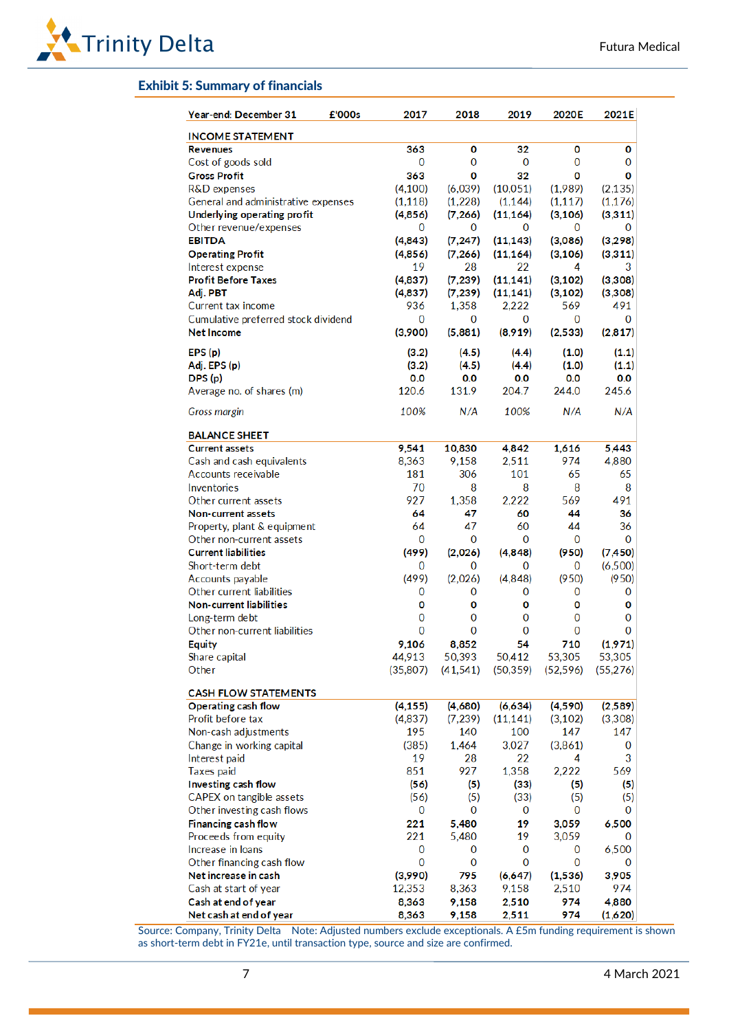

#### Exhibit 5: Summary of financials

| Year-end: December 31               | £'000s | 2017     | 2018      | 2019         | 2020E       | 2021E     |
|-------------------------------------|--------|----------|-----------|--------------|-------------|-----------|
| <b>INCOME STATEMENT</b>             |        |          |           |              |             |           |
| <b>Revenues</b>                     |        | 363      | 0         | 32           | 0           | 0         |
| Cost of goods sold                  |        | 0        | 0         | 0            | 0           | 0         |
| <b>Gross Profit</b>                 |        | 363      | 0         | 32           | 0           | 0         |
| R&D expenses                        |        | (4,100)  | (6,039)   | (10,051)     | (1,989)     | (2, 135)  |
| General and administrative expenses |        | (1, 118) | (1,228)   | (1, 144)     | (1, 117)    | (1, 176)  |
| Underlying operating profit         |        | (4,856)  | (7, 266)  | (11, 164)    | (3, 106)    | (3,311)   |
| Other revenue/expenses              |        | 0        | 0         | 0            | 0           | 0         |
| <b>EBITDA</b>                       |        | (4,843)  | (7, 247)  | (11, 143)    | (3,086)     | (3,298)   |
| <b>Operating Profit</b>             |        | (4,856)  | (7, 266)  | (11, 164)    | (3, 106)    | (3,311)   |
| Interest expense                    |        | 19       | 28        | 22           | 4           | 3         |
| <b>Profit Before Taxes</b>          |        | (4,837)  | (7, 239)  | (11, 141)    | (3, 102)    | (3,308)   |
| Adj. PBT                            |        | (4,837)  | (7, 239)  | (11, 141)    | (3, 102)    | (3,308)   |
| Current tax income                  |        | 936      | 1,358     | 2,222        | 569         | 491       |
| Cumulative preferred stock dividend |        | 0        | 0         | 0            | 0           | 0         |
| <b>Net Income</b>                   |        | (3,900)  | (5,881)   | (8,919)      | (2,533)     | (2,817)   |
| EPS(p)                              |        | (3.2)    | (4.5)     | (4.4)        | (1.0)       | (1.1)     |
| Adj. EPS (p)                        |        | (3.2)    | (4.5)     | (4.4)        | (1.0)       | (1.1)     |
| DPS (p)                             |        | 0.0      | 0.0       | 0.0          | 0.0         | 0.0       |
| Average no. of shares (m)           |        | 120.6    | 131.9     | 204.7        | 244.0       | 245.6     |
| Gross margin                        |        | 100%     | N/A       | 100%         | N/A         | N/A       |
| <b>BALANCE SHEET</b>                |        |          |           |              |             |           |
| <b>Current assets</b>               |        | 9,541    | 10,830    | 4,842        | 1,616       | 5,443     |
| Cash and cash equivalents           |        | 8,363    | 9,158     | 2,511        | 974         | 4,880     |
| Accounts receivable                 |        | 181      | 306       | 101          | 65          | 65        |
| Inventories                         |        | 70       | 8         | 8            | 8           | 8         |
| Other current assets                |        | 927      | 1,358     | 2.222        | 569         | 491       |
| <b>Non-current assets</b>           |        | 64       | 47        | 60           | 44          | 36        |
| Property, plant & equipment         |        | 64       | 47        | 60           | 44          | 36        |
| Other non-current assets            |        | 0        | 0         | 0            | 0           | 0         |
| <b>Current liabilities</b>          |        | (499)    | (2,026)   | (4,848)      | (950)       | (7, 450)  |
| Short-term debt                     |        | 0        | 0         | 0            | 0           | (6,500)   |
| Accounts payable                    |        | (499)    | (2,026)   | (4,848)      | (950)       | (950)     |
| Other current liabilities           |        | 0        | 0         | 0            | 0           | 0         |
| Non-current liabilities             |        | 0        | 0         | O            | o           | 0         |
| Long-term debt                      |        | 0        | 0         | $\Omega$     | 0           | $\Omega$  |
| Other non-current liabilities       |        | $\Omega$ | $\Omega$  | $\Omega$     | $\Omega$    | $\Omega$  |
| <b>Equity</b>                       |        | 9,106    | 8.852     | 54           | 710         | (1,971)   |
| Share capital                       |        | 44,913   | 50,393    | 50,412       | 53,305      | 53,305    |
| Other                               |        | (35,807) | (41, 541) | (50, 359)    | (52, 596)   | (55, 276) |
| <b>CASH FLOW STATEMENTS</b>         |        |          |           |              |             |           |
| Operating cash flow                 |        | (4, 155) | (4,680)   | (6,634)      | (4,590)     | (2,589)   |
| Profit before tax                   |        | (4,837)  | (7,239)   | (11, 141)    | (3, 102)    | (3,308)   |
| Non-cash adjustments                |        | 195      | 140       | 100          | 147         | 147       |
| Change in working capital           |        | (385)    | 1,464     | 3,027        | (3,861)     | $\bf{0}$  |
| Interest paid                       |        | 19       | 28        | 22           | 4           | 3         |
| <b>Taxes paid</b>                   |        | 851      | 927       | 1,358        | 2,222       | 569       |
| Investing cash flow                 |        | (56)     | (5)       | (33)         | (5)         | (5)       |
| CAPEX on tangible assets            |        | (56)     | (5)       | (33)         | (5)         | (5)       |
| Other investing cash flows          |        | 0        | 0         | 0            | 0           | 0         |
| Financing cash flow                 |        | 221      | 5,480     | 19           | 3,059       | 6,500     |
| Proceeds from equity                |        | 221      | 5,480     | 19           | 3,059       | 0         |
| Increase in loans                   |        | 0        | 0         | 0            | 0           | 6,500     |
| Other financing cash flow           |        | 0        | 0         | $\mathbf{0}$ | $\mathbf 0$ | $\bf{0}$  |
| Net increase in cash                |        | (3,990)  | 795       | (6,647)      | (1,536)     | 3,905     |
| Cash at start of year               |        | 12,353   | 8,363     | 9,158        | 2,510       | 974       |
| Cash at end of year                 |        | 8,363    | 9,158     | 2,510        | 974         | 4,880     |
| Net cash at end of year             |        | 8,363    | 9,158     | 2,511        | 974         | (1,620)   |

Source: Company, Trinity Delta Note: Adjusted numbers exclude exceptionals. A £5m funding requirement is shown as short-term debt in FY21e, until transaction type, source and size are confirmed.